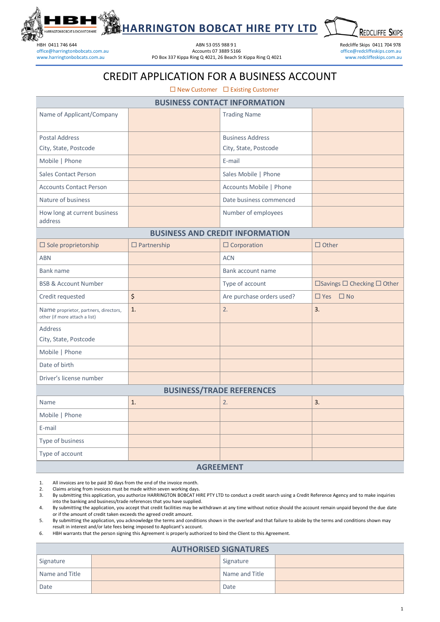

office@harringtonbobcats.com.au

HBH 0411 746 644 ABN 53 055 988 91 Redcliffe Skips 0411 704 978 [www.harringtonbobcats.com.au](http://www.harringtonbobcats.com.au/) **PO Box 337 Kippa Ring Q 4021, 26 Beach St Kippa Ring Q 4021** [www.redcliffeskips.com.au](http://www.redcliffeskips.com.au/)

**HARRINGTON BOBCAT HIRE PTY LTD**

**REDCLIFFE SKIPS** 

### CREDIT APPLICATION FOR A BUSINESS ACCOUNT

 $\square$  New Customer  $\square$  Existing Customer

| <b>BUSINESS CONTACT INFORMATION</b>                                    |                    |                           |                             |  |  |
|------------------------------------------------------------------------|--------------------|---------------------------|-----------------------------|--|--|
| Name of Applicant/Company                                              |                    | <b>Trading Name</b>       |                             |  |  |
|                                                                        |                    |                           |                             |  |  |
| <b>Postal Address</b>                                                  |                    | <b>Business Address</b>   |                             |  |  |
| City, State, Postcode                                                  |                    | City, State, Postcode     |                             |  |  |
| Mobile   Phone                                                         |                    | E-mail                    |                             |  |  |
| <b>Sales Contact Person</b>                                            |                    | Sales Mobile   Phone      |                             |  |  |
| <b>Accounts Contact Person</b>                                         |                    | Accounts Mobile   Phone   |                             |  |  |
| Nature of business                                                     |                    | Date business commenced   |                             |  |  |
| How long at current business<br>address                                |                    | Number of employees       |                             |  |  |
| <b>BUSINESS AND CREDIT INFORMATION</b>                                 |                    |                           |                             |  |  |
| $\square$ Sole proprietorship                                          | $\Box$ Partnership | $\Box$ Corporation        | $\Box$ Other                |  |  |
| <b>ABN</b>                                                             |                    | <b>ACN</b>                |                             |  |  |
| Bank name                                                              |                    | Bank account name         |                             |  |  |
| <b>BSB &amp; Account Number</b>                                        |                    | Type of account           | □Savings □ Checking □ Other |  |  |
| Credit requested                                                       | $\zeta$            | Are purchase orders used? | $\Box$ Yes $\Box$ No        |  |  |
| Name proprietor, partners, directors,<br>other (if more attach a list) | 1.                 | 2.                        | 3.                          |  |  |
| Address                                                                |                    |                           |                             |  |  |
| City, State, Postcode                                                  |                    |                           |                             |  |  |
| Mobile   Phone                                                         |                    |                           |                             |  |  |
| Date of birth                                                          |                    |                           |                             |  |  |
| Driver's license number                                                |                    |                           |                             |  |  |
| <b>BUSINESS/TRADE REFERENCES</b>                                       |                    |                           |                             |  |  |
| Name                                                                   | 1.                 | 2.                        | 3.                          |  |  |
| Mobile   Phone                                                         |                    |                           |                             |  |  |
| E-mail                                                                 |                    |                           |                             |  |  |
| Type of business                                                       |                    |                           |                             |  |  |
| Type of account                                                        |                    |                           |                             |  |  |
| <b>AGREEMENT</b>                                                       |                    |                           |                             |  |  |

1. All invoices are to be paid 30 days from the end of the invoice month.<br>2. Claims arising from invoices must be made within seven working days

2. Claims arising from invoices must be made within seven working days.<br>3. By submitting this application, you authorize HARRINGTON BOBCAT HI 3. By submitting this application, you authorize HARRINGTON BOBCAT HIRE PTY LTD to conduct a credit search using a Credit Reference Agency and to make inquiries into the banking and business/trade references that you have supplied.

4. By submitting the application, you accept that credit facilities may be withdrawn at any time without notice should the account remain unpaid beyond the due date or if the amount of credit taken exceeds the agreed credit amount.

5. By submitting the application, you acknowledge the terms and conditions shown in the overleaf and that failure to abide by the terms and conditions shown may result in interest and/or late fees being imposed to Applicant's account.

6. HBH warrants that the person signing this Agreement is properly authorized to bind the Client to this Agreement.

| <b>AUTHORISED SIGNATURES</b> |  |                |  |  |  |  |
|------------------------------|--|----------------|--|--|--|--|
| Signature                    |  | Signature      |  |  |  |  |
| Name and Title               |  | Name and Title |  |  |  |  |
| Date                         |  | Date           |  |  |  |  |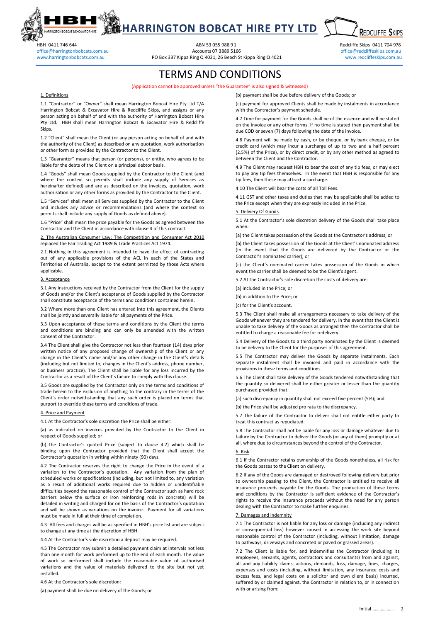

# **HARRINGTON BOBCAT HIRE PTY LTD**

office@harringtonbobcats.com.au

HBH 0411 746 644 ABN 53 055 988 91<br>ABN 53 055 988 91 ACCOUNTS 07 3889 5166 ACCOUNTS 07 3889 5166 ACCOUNTS 07 3889 5166 ABR 2007 2013 DETECTIVE SKIPS COM 31 [www.harringtonbobcats.com.au](http://www.harringtonbobcats.com.au/) **PO Box 337 Kippa Ring Q 4021, 26 Beach St Kippa Ring Q 4021** [www.redcliffeskips.com.au](http://www.redcliffeskips.com.au/)

**REDCLIFFE SKIPS** 

### TERMS AND CONDITIONS

#### (Application cannot be approved unless "the Guarantee" is also signed & witnessed)

#### 1. Definitions

1.1 "Contractor" or "Owner" shall mean Harrington Bobcat Hire Pty Ltd T/A Harrington Bobcat & Excavator Hire & Redcliffe Skips, and assigns or any person acting on behalf of and with the authority of Harrington Bobcat Hire Pty Ltd. HBH shall mean Harrington Bobcat & Excavator Hire & Redcliffe **Skips**.

1.2 "Client" shall mean the Client (or any person acting on behalf of and with the authority of the Client) as described on any quotation, work authorisation or other form as provided by the Contractor to the Client.

1.3 "Guarantor" means that person (or persons), or entity, who agrees to be liable for the debts of the Client on a principal debtor basis.

1.4 "Goods" shall mean Goods supplied by the Contractor to the Client (and where the context so permits shall include any supply of Services as hereinafter defined) and are as described on the invoices, quotation, work authorisation or any other forms as provided by the Contractor to the Client.

1.5 "Services" shall mean all Services supplied by the Contractor to the Client and includes any advice or recommendations (and where the context so permits shall include any supply of Goods as defined above).

1.6 "Price" shall mean the price payable for the Goods as agreed between the Contractor and the Client in accordance with clause 4 of this contract.

2. The Australian Consumer Law; The Competition and Consumer Act 2010 replaced the Fair Trading Act 1989 & Trade Practices Act 1974.

2.1 Nothing in this agreement is intended to have the effect of contracting out of any applicable provisions of the ACL in each of the States and Territories of Australia, except to the extent permitted by those Acts where applicable.

#### 3. Acceptance

3.1 Any instructions received by the Contractor from the Client for the supply of Goods and/or the Client's acceptance of Goods supplied by the Contractor shall constitute acceptance of the terms and conditions contained herein.

3.2 Where more than one Client has entered into this agreement, the Clients shall be jointly and severally liable for all payments of the Price.

3.3 Upon acceptance of these terms and conditions by the Client the terms and conditions are binding and can only be amended with the written consent of the Contractor.

3.4 The Client shall give the Contractor not less than fourteen (14) days prior written notice of any proposed change of ownership of the Client or any change in the Client's name and/or any other change in the Client's details (including but not limited to, changes in the Client's address, phone number, or business practice). The Client shall be liable for any loss incurred by the Contractor as a result of the Client's failure to comply with this clause.

3.5 Goods are supplied by the Contractor only on the terms and conditions of trade herein to the exclusion of anything to the contrary in the terms of the Client's order notwithstanding that any such order is placed on terms that purport to override these terms and conditions of trade.

#### 4. Price and Payment

4.1 At the Contractor's sole discretion the Price shall be either:

(a) as indicated on invoices provided by the Contractor to the Client in respect of Goods supplied; or

(b) the Contractor's quoted Price (subject to clause 4.2) which shall be binding upon the Contractor provided that the Client shall accept the Contractor's quotation in writing within ninety (90) days.

4.2 The Contractor reserves the right to change the Price in the event of a variation to the Contractor's quotation. Any variation from the plan of scheduled works or specifications (including, but not limited to, any variation as a result of additional works required due to hidden or unidentifiable difficulties beyond the reasonable control of the Contractor such as hard rock barriers below the surface or iron reinforcing rods in concrete) will be detailed in writing and charged for on the basis of the Contractor's quotation and will be shown as variations on the invoice. Payment for all variations must be made in full at their time of completion.

4.3 All fees and charges will be as specified in HBH's price list and are subject to change at any time at the discretion of HBH.

4.4 At the Contractor's sole discretion a deposit may be required.

4.5 The Contractor may submit a detailed payment claim at intervals not less than one month for work performed up to the end of each month. The value of work so performed shall include the reasonable value of authorised variations and the value of materials delivered to the site but not yet inctalled

4.6 At the Contractor's sole discretion:

(a) payment shall be due on delivery of the Goods; or

(b) payment shall be due before delivery of the Goods; or (c) payment for approved Clients shall be made by instalments in accordance with the Contractor's payment schedule.

4.7 Time for payment for the Goods shall be of the essence and will be stated on the invoice or any other forms. If no time is stated then payment shall be due COD or seven (7) days following the date of the invoice.

4.8 Payment will be made by cash, or by cheque, or by bank cheque, or by credit card (which may incur a surcharge of up to two and a half percent (2.5%) of the Price), or by direct credit, or by any other method as agreed to between the Client and the Contractor.

4.9 The Client may request HBH to bear the cost of any tip fees, or may elect to pay any tip fees themselves. In the event that HBH is responsible for any tip fees, then these may attract a surcharge.

4.10 The Client will bear the costs of all Toll Fees.

4.11 GST and other taxes and duties that may be applicable shall be added to the Price except when they are expressly included in the Price.

#### 5. Delivery Of Goods

5.1 At the Contractor's sole discretion delivery of the Goods shall take place when:

(a) the Client takes possession of the Goods at the Contractor's address; or

(b) the Client takes possession of the Goods at the Client's nominated address (in the event that the Goods are delivered by the Contractor or the Contractor's nominated carrier); or

(c) the Client's nominated carrier takes possession of the Goods in which event the carrier shall be deemed to be the Client's agent.

5.2 At the Contractor's sole discretion the costs of delivery are:

(a) included in the Price; or

(b) in addition to the Price; or

(c) for the Client's account.

5.3 The Client shall make all arrangements necessary to take delivery of the Goods whenever they are tendered for delivery. In the event that the Client is unable to take delivery of the Goods as arranged then the Contractor shall be entitled to charge a reasonable fee for redelivery.

5.4 Delivery of the Goods to a third party nominated by the Client is deemed to be delivery to the Client for the purposes of this agreement.

5.5 The Contractor may deliver the Goods by separate instalments. Each separate instalment shall be invoiced and paid in accordance with the provisions in these terms and conditions.

5.6 The Client shall take delivery of the Goods tendered notwithstanding that the quantity so delivered shall be either greater or lesser than the quantity purchased provided that:

(a) such discrepancy in quantity shall not exceed five percent (5%); and

(b) the Price shall be adjusted pro rata to the discrepancy.

5.7 The failure of the Contractor to deliver shall not entitle either party to treat this contract as repudiated.

5.8 The Contractor shall not be liable for any loss or damage whatever due to failure by the Contractor to deliver the Goods (or any of them) promptly or at all, where due to circumstances beyond the control of the Contractor.

#### 6. Risk

6.1 If the Contractor retains ownership of the Goods nonetheless, all risk for the Goods passes to the Client on delivery.

6.2 If any of the Goods are damaged or destroyed following delivery but prior to ownership passing to the Client, the Contractor is entitled to receive all insurance proceeds payable for the Goods. The production of these terms and conditions by the Contractor is sufficient evidence of the Contractor's rights to receive the insurance proceeds without the need for any person dealing with the Contractor to make further enquiries.

#### 7. Damages and Indemnity

7.1 The Contractor is not liable for any loss or damage (including any indirect or consequential loss) however caused in accessing the work site beyond reasonable control of the Contractor (including, without limitation, damage to pathways, driveways and concreted or paved or grassed areas).

7.2 The Client is liable for, and indemnifies the Contractor (including its employees, servants, agents, contractors and consultants) from and against, all and any liability claims, actions, demands, loss, damage, fines, charges, expenses and costs (including, without limitation, any insurance costs and excess fees, and legal costs on a solicitor and own client basis) incurred, suffered by or claimed against, the Contractor in relation to, or in connection with or arising from: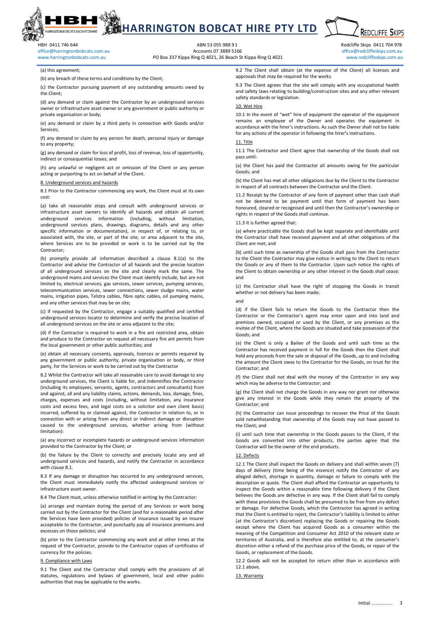## **HARRINGTON BOBCAT HIRE PTY LTD**

office@harringtonbobcats.com.au

HBH 0411 746 644 ABN 53 055 988 91<br>ABN 53 055 988 91 ACCOUNTS 07 3889 5166 ACCOUNTS 07 3889 5166 ACCOUNTS 07 3889 5166 ABN 2007 2018 2019 ACCOUNT [www.harringtonbobcats.com.au](http://www.harringtonbobcats.com.au/) **PO Box 337 Kippa Ring Q 4021, 26 Beach St Kippa Ring Q 4021** [www.redcliffeskips.com.au](http://www.redcliffeskips.com.au/)

**REDCLIFFE SKIPS** 

(a) this agreement;

(b) any breach of these terms and conditions by the Client;

(c) the Contractor pursuing payment of any outstanding amounts owed by the Client;

(d) any demand or claim against the Contractor by an underground services owner or infrastructure asset owner or any government or public authority or private organisation or body;

(e) any demand or claim by a third party in connection with Goods and/or Services;

(f) any demand or claim by any person for death, personal injury or damage to any property;

(g) any demand or claim for loss of profit, loss of revenue, loss of opportunity, indirect or consequential losses; and

(h) any unlawful or negligent act or omission of the Client or any person acting or purporting to act on behalf of the Client.

#### 8. Underground services and hazards

8.1 Prior to the Contractor commencing any work, the Client must at its own cost:

(a) take all reasonable steps and consult with underground services or infrastructure asset owners to identify all hazards and obtain all current underground services information (including, without limitation, underground services plans, drawings, diagrams, details and any other specific information or documentation), in respect of, or relating to, or associated with, the site, or part of the site, or area adjacent to the site, where Services are to be provided or work is to be carried out by the Contractor;

(b) promptly provide all information described a clause 8.1(a) to the Contractor and advise the Contractor of all hazards and the precise location of all underground services on the site and clearly mark the same. The underground mains and services the Client must identify include, but are not limited to, electrical services, gas services, sewer services, pumping services, telecommunication services, sewer connections, sewer sludge mains, water mains, irrigation pipes, Telstra cables, fibre optic cables, oil pumping mains, and any other services that may be on site;

(c) if requested by the Contractor, engage a suitably qualified and certified underground services locator to determine and verify the precise location of all underground services on the site or area adjacent to the site;

(d) if the Contractor is required to work in a fire ant restricted area, obtain and produce to the Contractor on request all necessary fire ant permits from the local government or other public authorities; and

(e) obtain all necessary consents, approvals, licences or permits required by any government or public authority, private organisation or body, or third party, for the Services or work to be carried out by the Contractor

8.2 Whilst the Contractor will take all reasonable care to avoid damage to any underground services, the Client is liable for, and indemnifies the Contractor (including its employees, servants, agents, contractors and consultants) from and against, all and any liability claims, actions, demands, loss, damage, fines, charges, expenses and costs (including, without limitation, any insurance costs and excess fees, and legal costs on a solicitor and own client basis) incurred, suffered by or claimed against, the Contractor in relation to, or in connection with or arising from any direct or indirect damage or disruption caused to the underground services, whether arising from (without limitation):

(a) any incorrect or incomplete hazards or underground services information provided to the Contractor by the Client; or

(b) the failure by the Client to correctly and precisely locate any and all underground services and hazards, and notify the Contractor in accordance with clause 8.1.

8.3 If any damage or disruption has occurred to any underground services, the Client must immediately notify the affected underground services or infrastructure asset owner.

8.4 The Client must, unless otherwise notified in writing by the Contractor:

(a) arrange and maintain during the period of any Services or work being carried out by the Contractor for the Client (and for a reasonable period after the Services have been provided) policies of insurance issued by an insurer acceptable to the Contractor, and punctually pay all insurance premiums and excesses on those policies; and

(b) prior to the Contractor commencing any work and at other times at the request of the Contractor, provide to the Contractor copies of certificates of currency for the policies.

#### 9. Compliance with Laws

9.1 The Client and the Contractor shall comply with the provisions of all statutes, regulations and bylaws of government, local and other public authorities that may be applicable to the works.

9.2 The Client shall obtain (at the expense of the Client) all licenses and approvals that may be required for the works.

9.3 The Client agrees that the site will comply with any occupational health and safety laws relating to building/construction sites and any other relevant safety standards or legislation.

#### 10. Wet Hire

10.1 In the event of "wet" hire of equipment the operator of the equipment remains an employee of the Owner and operates the equipment in accordance with the hirer's instructions. As such the Owner shall not be liable for any actions of the operator in following the hirer's instructions.

#### 11. Title

11.1 The Contractor and Client agree that ownership of the Goods shall not pass until:

(a) the Client has paid the Contractor all amounts owing for the particular Goods; and

(b) the Client has met all other obligations due by the Client to the Contractor in respect of all contracts between the Contractor and the Client.

11.2 Receipt by the Contractor of any form of payment other than cash shall not be deemed to be payment until that form of payment has been honoured, cleared or recognised and until then the Contractor's ownership or rights in respect of the Goods shall continue.

11.3 It is further agreed that:

(a) where practicable the Goods shall be kept separate and identifiable until the Contractor shall have received payment and all other obligations of the Client are met; and

(b) until such time as ownership of the Goods shall pass from the Contractor to the Client the Contractor may give notice in writing to the Client to return the Goods or any of them to the Contractor. Upon such notice the rights of the Client to obtain ownership or any other interest in the Goods shall cease; and

(c) the Contractor shall have the right of stopping the Goods in transit whether or not delivery has been made;

and

(d) if the Client fails to return the Goods to the Contractor then the Contractor or the Contractor's agent may enter upon and into land and premises owned, occupied or used by the Client, or any premises as the invitee of the Client, where the Goods are situated and take possession of the Goods; and

(e) the Client is only a Bailee of the Goods and until such time as the Contractor has received payment in full for the Goods then the Client shall hold any proceeds from the sale or disposal of the Goods, up to and including the amount the Client owes to the Contractor for the Goods, on trust for the Contractor; and

(f) the Client shall not deal with the money of the Contractor in any way which may be adverse to the Contractor; and

(g) the Client shall not charge the Goods in any way nor grant nor otherwise give any interest in the Goods while they remain the property of the Contractor; and

(h) the Contractor can issue proceedings to recover the Price of the Goods sold notwithstanding that ownership of the Goods may not have passed to the Client; and

(i) until such time that ownership in the Goods passes to the Client, if the Goods are converted into other products, the parties agree that the Contractor will be the owner of the end products.

#### 12. Defects

12.1 The Client shall inspect the Goods on delivery and shall within seven (7) days of delivery (time being of the essence) notify the Contractor of any alleged defect, shortage in quantity, damage or failure to comply with the description or quote. The Client shall afford the Contractor an opportunity to inspect the Goods within a reasonable time following delivery if the Client believes the Goods are defective in any way. If the Client shall fail to comply with these provisions the Goods shall be presumed to be free from any defect or damage. For defective Goods, which the Contractor has agreed in writing that the Client is entitled to reject, the Contractor's liability is limited to either (at the Contractor's discretion) replacing the Goods or repairing the Goods except where the Client has acquired Goods as a consumer within the meaning of the Competition and Consumer Act 2010 of the relevant state or territories of Australia, and is therefore also entitled to, at the consumer's discretion either a refund of the purchase price of the Goods, or repair of the Goods, or replacement of the Goods.

12.2 Goods will not be accepted for return other than in accordance with 12.1 above.

#### 13. Warranty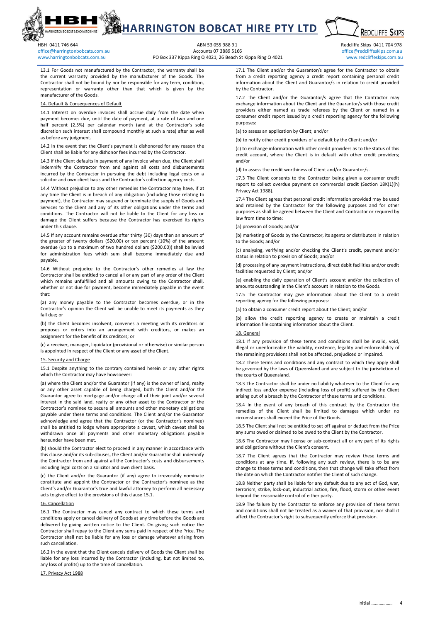

## **HARRINGTON BOBCAT HIRE PTY LTD**

office@harringtonbobcats.com.au

HBH 0411 746 644 ABN 53 055 988 91<br>Accounts 07 3889 5166 Accounts 07 3889 5166 Accounts 07 3889 5166 Accounts 07 3889 5166 Association office @redcliffeskips.com.au [www.harringtonbobcats.com.au](http://www.harringtonbobcats.com.au/) **PO Box 337 Kippa Ring Q 4021, 26 Beach St Kippa Ring Q 4021** [www.redcliffeskips.com.au](http://www.redcliffeskips.com.au/)

**REDCLIFFE SKIPS** 

13.1 For Goods not manufactured by the Contractor, the warranty shall be the current warranty provided by the manufacturer of the Goods. The Contractor shall not be bound by nor be responsible for any term, condition, representation or warranty other than that which is given by the manufacturer of the Goods.

#### efault & Consequences of Default

14.1 Interest on overdue invoices shall accrue daily from the date when payment becomes due, until the date of payment, at a rate of two and one half percent (2.5%) per calendar month (and at the Contractor's sole discretion such interest shall compound monthly at such a rate) after as well as before any judgment.

14.2 In the event that the Client's payment is dishonored for any reason the Client shall be liable for any dishonor fees incurred by the Contractor.

14.3 If the Client defaults in payment of any invoice when due, the Client shall indemnify the Contractor from and against all costs and disbursements incurred by the Contractor in pursuing the debt including legal costs on a solicitor and own client basis and the Contractor's collection agency costs.

14.4 Without prejudice to any other remedies the Contractor may have, if at any time the Client is in breach of any obligation (including those relating to payment), the Contractor may suspend or terminate the supply of Goods and Services to the Client and any of its other obligations under the terms and conditions. The Contractor will not be liable to the Client for any loss or damage the Client suffers because the Contractor has exercised its rights under this clause.

14.5 If any account remains overdue after thirty (30) days then an amount of the greater of twenty dollars (\$20.00) or ten percent (10%) of the amount overdue (up to a maximum of two hundred dollars (\$200.00)) shall be levied for administration fees which sum shall become immediately due and payable.

14.6 Without prejudice to the Contractor's other remedies at law the Contractor shall be entitled to cancel all or any part of any order of the Client which remains unfulfilled and all amounts owing to the Contractor shall, whether or not due for payment, become immediately payable in the event that:

(a) any money payable to the Contractor becomes overdue, or in the Contractor's opinion the Client will be unable to meet its payments as they fall due; or

(b) the Client becomes insolvent, convenes a meeting with its creditors or proposes or enters into an arrangement with creditors, or makes an assignment for the benefit of its creditors; or

(c) a receiver, manager, liquidator (provisional or otherwise) or similar person is appointed in respect of the Client or any asset of the Client.

#### Irity and Charge

15.1 Despite anything to the contrary contained herein or any other rights which the Contractor may have howsoever:

(a) where the Client and/or the Guarantor (if any) is the owner of land, realty or any other asset capable of being charged, both the Client and/or the Guarantor agree to mortgage and/or charge all of their joint and/or several interest in the said land, realty or any other asset to the Contractor or the Contractor's nominee to secure all amounts and other monetary obligations payable under these terms and conditions. The Client and/or the Guarantor acknowledge and agree that the Contractor (or the Contractor's nominee) shall be entitled to lodge where appropriate a caveat, which caveat shall be withdrawn once all payments and other monetary obligations payable hereunder have been met.

(b) should the Contractor elect to proceed in any manner in accordance with this clause and/or its sub-clauses, the Client and/or Guarantor shall indemnify the Contractor from and against all the Contractor's costs and disbursements including legal costs on a solicitor and own client basis.

(c) the Client and/or the Guarantor (if any) agree to irrevocably nominate constitute and appoint the Contractor or the Contractor's nominee as the Client's and/or Guarantor's true and lawful attorney to perform all necessary acts to give effect to the provisions of this clause 15.1.

#### 16. Cancellation

16.1 The Contractor may cancel any contract to which these terms and conditions apply or cancel delivery of Goods at any time before the Goods are delivered by giving written notice to the Client. On giving such notice the Contractor shall repay to the Client any sums paid in respect of the Price. The Contractor shall not be liable for any loss or damage whatever arising from such cancellation.

16.2 In the event that the Client cancels delivery of Goods the Client shall be liable for any loss incurred by the Contractor (including, but not limited to, any loss of profits) up to the time of cancellation.

17. Privacy Act 1988

17.1 The Client and/or the Guarantor/s agree for the Contractor to obtain from a credit reporting agency a credit report containing personal credit information about the Client and Guarantor/s in relation to credit provided by the Contractor.

17.2 The Client and/or the Guarantor/s agree that the Contractor may exchange information about the Client and the Guarantor/s with those credit providers either named as trade referees by the Client or named in a consumer credit report issued by a credit reporting agency for the following purposes:

(a) to assess an application by Client; and/or

(b) to notify other credit providers of a default by the Client; and/or

(c) to exchange information with other credit providers as to the status of this credit account, where the Client is in default with other credit providers; and/or

(d) to assess the credit worthiness of Client and/or Guarantor/s.

17.3 The Client consents to the Contractor being given a consumer credit report to collect overdue payment on commercial credit (Section 18K(1)(h) Privacy Act 1988).

17.4 The Client agrees that personal credit information provided may be used and retained by the Contractor for the following purposes and for other purposes as shall be agreed between the Client and Contractor or required by law from time to time:

(a) provision of Goods; and/or

(b) marketing of Goods by the Contractor, its agents or distributors in relation to the Goods; and/or

(c) analysing, verifying and/or checking the Client's credit, payment and/or status in relation to provision of Goods; and/or

(d) processing of any payment instructions, direct debit facilities and/or credit facilities requested by Client; and/or

(e) enabling the daily operation of Client's account and/or the collection of amounts outstanding in the Client's account in relation to the Goods.

17.5 The Contractor may give information about the Client to a credit reporting agency for the following purposes:

(a) to obtain a consumer credit report about the Client; and/or

(b) allow the credit reporting agency to create or maintain a credit information file containing information about the Client.

#### 18. General

18.1 If any provision of these terms and conditions shall be invalid, void, illegal or unenforceable the validity, existence, legality and enforceability of the remaining provisions shall not be affected, prejudiced or impaired.

18.2 These terms and conditions and any contract to which they apply shall be governed by the laws of Queensland and are subject to the jurisdiction of the courts of Queensland.

18.3 The Contractor shall be under no liability whatever to the Client for any indirect loss and/or expense (including loss of profit) suffered by the Client arising out of a breach by the Contractor of these terms and conditions.

18.4 In the event of any breach of this contract by the Contractor the remedies of the Client shall be limited to damages which under no circumstances shall exceed the Price of the Goods.

18.5 The Client shall not be entitled to set off against or deduct from the Price any sums owed or claimed to be owed to the Client by the Contractor.

18.6 The Contractor may license or sub-contract all or any part of its rights and obligations without the Client's consent.

18.7 The Client agrees that the Contractor may review these terms and conditions at any time. If, following any such review, there is to be any change to these terms and conditions, then that change will take effect from the date on which the Contractor notifies the Client of such change.

18.8 Neither party shall be liable for any default due to any act of God, war, terrorism, strike, lock-out, industrial action, fire, flood, storm or other event beyond the reasonable control of either party.

18.9 The failure by the Contractor to enforce any provision of these terms and conditions shall not be treated as a waiver of that provision, nor shall it affect the Contractor's right to subsequently enforce that provision.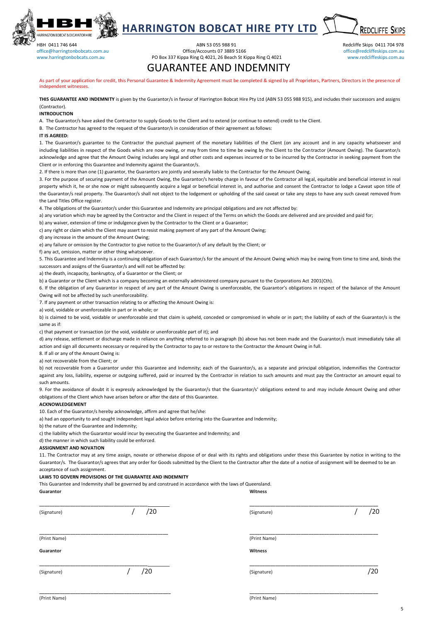

**HARRINGTON BOBCAT HIRE PTY LTD REDCLIFFE SKIPS** 

office@harringtonbobcats.com.au

### HBH 0411 746 644 Redcliffe Skips 0411 704 978<br>
ABN 53 055 988 91 ABN 53 055 988 91 ABN 53 055 988 91 ABN 53 055 988 91 ABN 646 CHICAGO ABN 646 CHICAGO ABN 6<br>
Office @harringtonhohcats.com au au Company of the Chicago Abric [www.harringtonbobcats.com.au](http://www.harringtonbobcats.com.au/) **PO Box 337 Kippa Ring Q 4021, 26 Beach St Kippa Ring Q 4021** [www.redcliffeskips.com.au](http://www.redcliffeskips.com.au/)

GUARANTEE AND INDEMNITY

As part of your application for credit, this Personal Guarantee & Indemnity Agreement must be completed & signed by all Proprietors, Partners, Directors in the presence of independent witnesses.

**THIS GUARANTEE AND INDEMNITY** is given by the Guarantor/s in favour of Harrington Bobcat Hire Pty Ltd (ABN 53 055 988 915), and includes their successors and assigns (Contractor).

#### **INTRODUCTION**

A. The Guarantor/s have asked the Contractor to supply Goods to the Client and to extend (or continue to extend) credit to the Client.

B. The Contractor has agreed to the request of the Guarantor/s in consideration of their agreement as follows:

#### **IT IS AGREED:**

1. The Guarantor/s guarantee to the Contractor the punctual payment of the monetary liabilities of the Client (on any account and in any capacity whatsoever and including liabilities in respect of the Goods which are now owing, or may from time to time be owing by the Client to the Contractor (Amount Owing). The Guarantor/s acknowledge and agree that the Amount Owing includes any legal and other costs and expenses incurred or to be incurred by the Contractor in seeking payment from the Client or in enforcing this Guarantee and Indemnity against the Guarantor/s.

2. If there is more than one (1) guarantor, the Guarantors are jointly and severally liable to the Contractor for the Amount Owing.

3. For the purpose of securing payment of the Amount Owing, the Guarantor/s hereby charge in favour of the Contractor all legal, equitable and beneficial interest in real property which it, he or she now or might subsequently acquire a legal or beneficial interest in, and authorise and consent the Contractor to lodge a Caveat upon title of the Guarantor/s real property. The Guarantor/s shall not object to the lodgement or upholding of the said caveat or take any steps to have any such caveat removed from the Land Titles Office register.

4. The obligations of the Guarantor/s under this Guarantee and Indemnity are principal obligations and are not affected by:

a) any variation which may be agreed by the Contractor and the Client in respect of the Terms on which the Goods are delivered and are provided and paid for:

b) any waiver, extension of time or indulgence given by the Contractor to the Client or a Guarantor;

c) any right or claim which the Client may assert to resist making payment of any part of the Amount Owing;

d) any increase in the amount of the Amount Owing;

e) any failure or omission by the Contractor to give notice to the Guarantor/s of any default by the Client; or

f) any act, omission, matter or other thing whatsoever.

5. This Guarantee and Indemnity is a continuing obligation of each Guarantor/s for the amount of the Amount Owing which may be owing from time to time and, binds the successors and assigns of the Guarantor/s and will not be affected by:

a) the death, incapacity, bankruptcy, of a Guarantor or the Client; or

b) a Guarantor or the Client which is a company becoming an externally administered company pursuant to the Corporations Act 2001(Cth).

6. If the obligation of any Guarantor in respect of any part of the Amount Owing is unenforceable, the Guarantor's obligations in respect of the balance of the Amount Owing will not be affected by such unenforceability.

7. If any payment or other transaction relating to or affecting the Amount Owing is:

a) void, voidable or unenforceable in part or in whole; or

b) is claimed to be void, voidable or unenforceable and that claim is upheld, conceded or compromised in whole or in part; the liability of each of the Guarantor/s is the same as if:

c) that payment or transaction (or the void, voidable or unenforceable part of it); and

d) any release, settlement or discharge made in reliance on anything referred to in paragraph (b) above has not been made and the Guarantor/s must immediately take all action and sign all documents necessary or required by the Contractor to pay to or restore to the Contractor the Amount Owing in full.

8. If all or any of the Amount Owing is:

a) not recoverable from the Client; or

b) not recoverable from a Guarantor under this Guarantee and Indemnity; each of the Guarantor/s, as a separate and principal obligation, indemnifies the Contractor against any loss, liability, expense or outgoing suffered, paid or incurred by the Contractor in relation to such amounts and must pay the Contractor an amount equal to such amounts.

9. For the avoidance of doubt it is expressly acknowledged by the Guarantor/s that the Guarantor/s' obligations extend to and may include Amount Owing and other obligations of the Client which have arisen before or after the date of this Guarantee.

#### **ACKNOWLEDGEMENT**

10. Each of the Guarantor/s hereby acknowledge, affirm and agree that he/she:

a) had an opportunity to and sought independent legal advice before entering into the Guarantee and Indemnity;

b) the nature of the Guarantee and Indemnity;

c) the liability which the Guarantor would incur by executing the Guarantee and Indemnity; and

d) the manner in which such liability could be enforced.

#### **ASSIGNMENT AND NOVATION**

11. The Contractor may at any time assign, novate or otherwise dispose of or deal with its rights and obligations under these this Guarantee by notice in writing to the Guarantor/s. The Guarantor/s agrees that any order for Goods submitted by the Client to the Contractor after the date of a notice of assignment will be deemed to be an acceptance of such assignment.

#### **LAWS TO GOVERN PROVISIONS OF THE GUARANTEE AND INDEMNITY**

This Guarantee and Indemnity shall be governed by and construed in accordance with the laws of Queensland. **Guarantor Witness**

| (Signature)  | /20 | (Signature)  | /20 |
|--------------|-----|--------------|-----|
| (Print Name) |     | (Print Name) |     |
| Guarantor    |     | Witness      |     |
| (Signature)  | /20 | (Signature)  | /20 |
|              |     |              |     |

(Print Name) (Print Name)